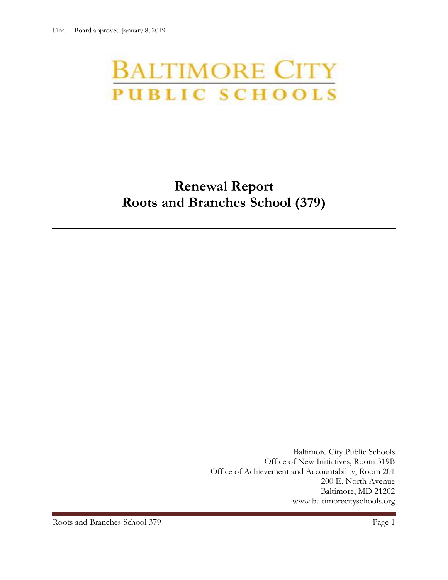# **BALTIMORE CITY** PUBLIC SCHOOLS

# **Renewal Report Roots and Branches School (379)**

Baltimore City Public Schools Office of New Initiatives, Room 319B Office of Achievement and Accountability, Room 201 200 E. North Avenue Baltimore, MD 21202 [www.baltimorecityschools.org](http://www.baltimorecityschools.org/)

Roots and Branches School 379 Page 1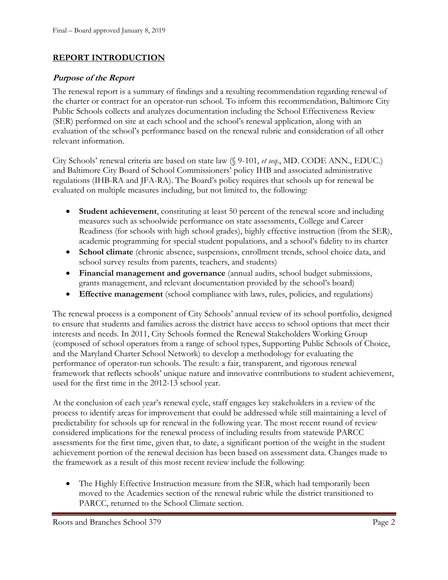#### **REPORT INTRODUCTION**

#### **Purpose of the Report**

The renewal report is a summary of findings and a resulting recommendation regarding renewal of the charter or contract for an operator-run school. To inform this recommendation, Baltimore City Public Schools collects and analyzes documentation including the School Effectiveness Review (SER) performed on site at each school and the school's renewal application, along with an evaluation of the school's performance based on the renewal rubric and consideration of all other relevant information.

City Schools' renewal criteria are based on state law (§ 9-101, *et seq*., MD. CODE ANN., EDUC.) and Baltimore City Board of School Commissioners' policy IHB and associated administrative regulations (IHB-RA and JFA-RA). The Board's policy requires that schools up for renewal be evaluated on multiple measures including, but not limited to, the following:

- **Student achievement**, constituting at least 50 percent of the renewal score and including measures such as schoolwide performance on state assessments, College and Career Readiness (for schools with high school grades), highly effective instruction (from the SER), academic programming for special student populations, and a school's fidelity to its charter
- **School climate** (chronic absence, suspensions, enrollment trends, school choice data, and school survey results from parents, teachers, and students)
- **Financial management and governance** (annual audits, school budget submissions, grants management, and relevant documentation provided by the school's board)
- **Effective management** (school compliance with laws, rules, policies, and regulations)

The renewal process is a component of City Schools' annual review of its school portfolio, designed to ensure that students and families across the district have access to school options that meet their interests and needs. In 2011, City Schools formed the Renewal Stakeholders Working Group (composed of school operators from a range of school types, Supporting Public Schools of Choice, and the Maryland Charter School Network) to develop a methodology for evaluating the performance of operator-run schools. The result: a fair, transparent, and rigorous renewal framework that reflects schools' unique nature and innovative contributions to student achievement, used for the first time in the 2012-13 school year.

At the conclusion of each year's renewal cycle, staff engages key stakeholders in a review of the process to identify areas for improvement that could be addressed while still maintaining a level of predictability for schools up for renewal in the following year. The most recent round of review considered implications for the renewal process of including results from statewide PARCC assessments for the first time, given that, to date, a significant portion of the weight in the student achievement portion of the renewal decision has been based on assessment data. Changes made to the framework as a result of this most recent review include the following:

• The Highly Effective Instruction measure from the SER, which had temporarily been moved to the Academics section of the renewal rubric while the district transitioned to PARCC, returned to the School Climate section.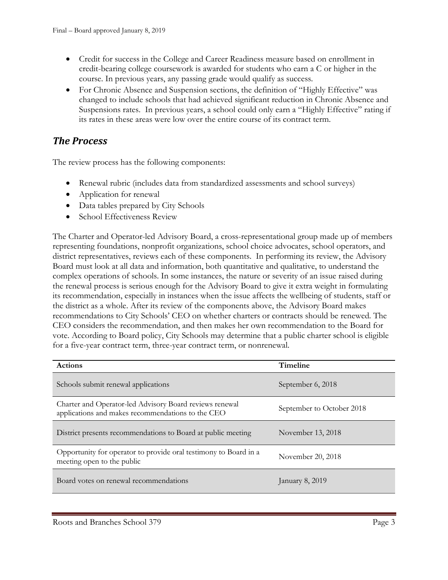- Credit for success in the College and Career Readiness measure based on enrollment in credit-bearing college coursework is awarded for students who earn a C or higher in the course. In previous years, any passing grade would qualify as success.
- For Chronic Absence and Suspension sections, the definition of "Highly Effective" was changed to include schools that had achieved significant reduction in Chronic Absence and Suspensions rates. In previous years, a school could only earn a "Highly Effective" rating if its rates in these areas were low over the entire course of its contract term.

## *The Process*

The review process has the following components:

- Renewal rubric (includes data from standardized assessments and school surveys)
- Application for renewal
- Data tables prepared by City Schools
- School Effectiveness Review

The Charter and Operator-led Advisory Board, a cross-representational group made up of members representing foundations, nonprofit organizations, school choice advocates, school operators, and district representatives, reviews each of these components. In performing its review, the Advisory Board must look at all data and information, both quantitative and qualitative, to understand the complex operations of schools. In some instances, the nature or severity of an issue raised during the renewal process is serious enough for the Advisory Board to give it extra weight in formulating its recommendation, especially in instances when the issue affects the wellbeing of students, staff or the district as a whole. After its review of the components above, the Advisory Board makes recommendations to City Schools' CEO on whether charters or contracts should be renewed. The CEO considers the recommendation, and then makes her own recommendation to the Board for vote. According to Board policy, City Schools may determine that a public charter school is eligible for a five-year contract term, three-year contract term, or nonrenewal.

| <b>Actions</b>                                                                                               | <b>Timeline</b>           |
|--------------------------------------------------------------------------------------------------------------|---------------------------|
| Schools submit renewal applications                                                                          | September 6, 2018         |
| Charter and Operator-led Advisory Board reviews renewal<br>applications and makes recommendations to the CEO | September to October 2018 |
| District presents recommendations to Board at public meeting                                                 | November 13, 2018         |
| Opportunity for operator to provide oral testimony to Board in a<br>meeting open to the public               | November 20, 2018         |
| Board votes on renewal recommendations                                                                       | January 8, 2019           |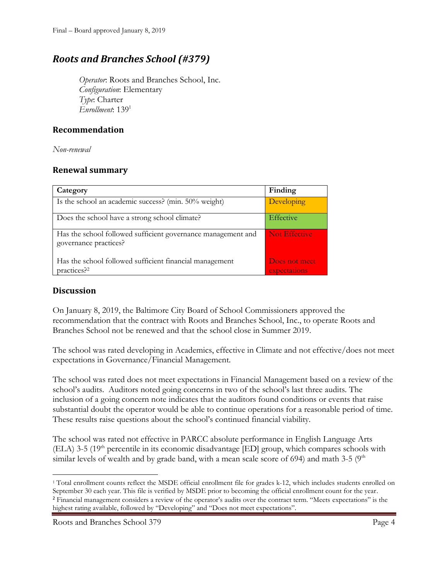# *Roots and Branches School (#379)*

*Operator*: Roots and Branches School, Inc. *Configuration*: Elementary *Type*: Charter *Enrollment*: 139<sup>1</sup>

#### **Recommendation**

*Non-renewal*

#### **Renewal summary**

| Category                                                                              | Finding                       |
|---------------------------------------------------------------------------------------|-------------------------------|
| Is the school an academic success? (min. 50% weight)                                  | Developing                    |
| Does the school have a strong school climate?                                         | Effective                     |
| Has the school followed sufficient governance management and<br>governance practices? | Not Effective                 |
| Has the school followed sufficient financial management<br>practices? <sup>2</sup>    | Does not meet<br>expectations |

#### **Discussion**

On January 8, 2019, the Baltimore City Board of School Commissioners approved the recommendation that the contract with Roots and Branches School, Inc., to operate Roots and Branches School not be renewed and that the school close in Summer 2019.

The school was rated developing in Academics, effective in Climate and not effective/does not meet expectations in Governance/Financial Management.

The school was rated does not meet expectations in Financial Management based on a review of the school's audits. Auditors noted going concerns in two of the school's last three audits. The inclusion of a going concern note indicates that the auditors found conditions or events that raise substantial doubt the operator would be able to continue operations for a reasonable period of time. These results raise questions about the school's continued financial viability.

The school was rated not effective in PARCC absolute performance in English Language Arts  $(ELA)$  3-5 (19<sup>th</sup> percentile in its economic disadvantage  $[ED]$  group, which compares schools with similar levels of wealth and by grade band, with a mean scale score of 694) and math 3-5 ( $9<sup>th</sup>$ 

l <sup>1</sup> Total enrollment counts reflect the MSDE official enrollment file for grades k-12, which includes students enrolled on September 30 each year. This file is verified by MSDE prior to becoming the official enrollment count for the year. <sup>2</sup> Financial management considers a review of the operator's audits over the contract term. "Meets expectations" is the highest rating available, followed by "Developing" and "Does not meet expectations".

Roots and Branches School 379 Page 4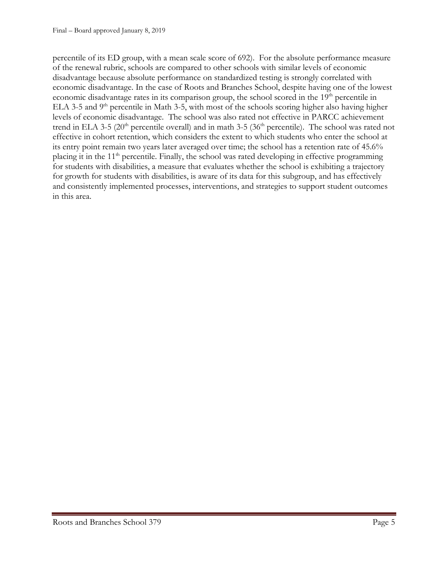percentile of its ED group, with a mean scale score of 692). For the absolute performance measure of the renewal rubric, schools are compared to other schools with similar levels of economic disadvantage because absolute performance on standardized testing is strongly correlated with economic disadvantage. In the case of Roots and Branches School, despite having one of the lowest economic disadvantage rates in its comparison group, the school scored in the 19<sup>th</sup> percentile in ELA 3-5 and  $9<sup>th</sup>$  percentile in Math 3-5, with most of the schools scoring higher also having higher levels of economic disadvantage. The school was also rated not effective in PARCC achievement trend in ELA 3-5 (20<sup>th</sup> percentile overall) and in math 3-5 (36<sup>th</sup> percentile). The school was rated not effective in cohort retention, which considers the extent to which students who enter the school at its entry point remain two years later averaged over time; the school has a retention rate of 45.6% placing it in the  $11<sup>th</sup>$  percentile. Finally, the school was rated developing in effective programming for students with disabilities, a measure that evaluates whether the school is exhibiting a trajectory for growth for students with disabilities, is aware of its data for this subgroup, and has effectively and consistently implemented processes, interventions, and strategies to support student outcomes in this area.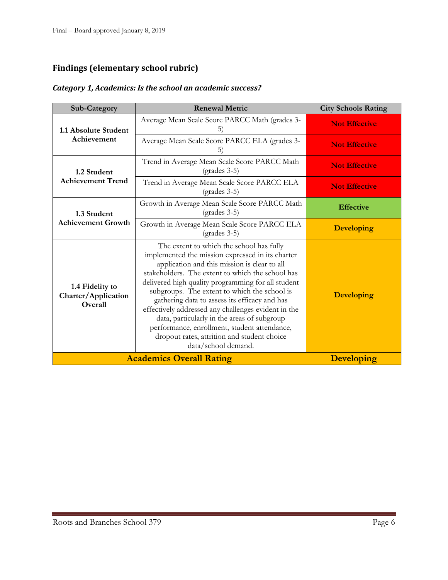## **Findings (elementary school rubric)**

#### *Category 1, Academics: Is the school an academic success?*

| <b>Sub-Category</b>                               | <b>Renewal Metric</b>                                                                                                                                                                                                                                                                                                                                                                                                                                                                                                                                                               | <b>City Schools Rating</b> |
|---------------------------------------------------|-------------------------------------------------------------------------------------------------------------------------------------------------------------------------------------------------------------------------------------------------------------------------------------------------------------------------------------------------------------------------------------------------------------------------------------------------------------------------------------------------------------------------------------------------------------------------------------|----------------------------|
| 1.1 Absolute Student<br>Achievement               | Average Mean Scale Score PARCC Math (grades 3-<br>5)                                                                                                                                                                                                                                                                                                                                                                                                                                                                                                                                | <b>Not Effective</b>       |
|                                                   | Average Mean Scale Score PARCC ELA (grades 3-<br>5)                                                                                                                                                                                                                                                                                                                                                                                                                                                                                                                                 | <b>Not Effective</b>       |
| 1.2 Student<br><b>Achievement Trend</b>           | Trend in Average Mean Scale Score PARCC Math<br>$(grades 3-5)$                                                                                                                                                                                                                                                                                                                                                                                                                                                                                                                      | <b>Not Effective</b>       |
|                                                   | Trend in Average Mean Scale Score PARCC ELA<br>$(grades 3-5)$                                                                                                                                                                                                                                                                                                                                                                                                                                                                                                                       | <b>Not Effective</b>       |
| 1.3 Student                                       | Growth in Average Mean Scale Score PARCC Math<br>$(grades 3-5)$                                                                                                                                                                                                                                                                                                                                                                                                                                                                                                                     | <b>Effective</b>           |
| <b>Achievement Growth</b>                         | Growth in Average Mean Scale Score PARCC ELA<br>$(grades 3-5)$                                                                                                                                                                                                                                                                                                                                                                                                                                                                                                                      | <b>Developing</b>          |
| 1.4 Fidelity to<br>Charter/Application<br>Overall | The extent to which the school has fully<br>implemented the mission expressed in its charter<br>application and this mission is clear to all<br>stakeholders. The extent to which the school has<br>delivered high quality programming for all student<br>subgroups. The extent to which the school is<br>gathering data to assess its efficacy and has<br>effectively addressed any challenges evident in the<br>data, particularly in the areas of subgroup<br>performance, enrollment, student attendance,<br>dropout rates, attrition and student choice<br>data/school demand. | <b>Developing</b>          |
|                                                   | <b>Academics Overall Rating</b>                                                                                                                                                                                                                                                                                                                                                                                                                                                                                                                                                     | <b>Developing</b>          |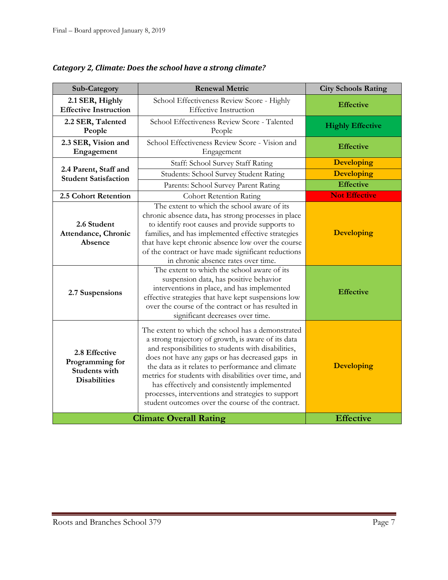| Sub-Category                                                                    | <b>Renewal Metric</b>                                                                                                                                                                                                                                                                                                                                                                                                                                                                       | <b>City Schools Rating</b> |
|---------------------------------------------------------------------------------|---------------------------------------------------------------------------------------------------------------------------------------------------------------------------------------------------------------------------------------------------------------------------------------------------------------------------------------------------------------------------------------------------------------------------------------------------------------------------------------------|----------------------------|
| 2.1 SER, Highly<br><b>Effective Instruction</b>                                 | School Effectiveness Review Score - Highly<br><b>Effective Instruction</b>                                                                                                                                                                                                                                                                                                                                                                                                                  | <b>Effective</b>           |
| 2.2 SER, Talented<br>People                                                     | School Effectiveness Review Score - Talented<br>People                                                                                                                                                                                                                                                                                                                                                                                                                                      | <b>Highly Effective</b>    |
| 2.3 SER, Vision and<br>Engagement                                               | School Effectiveness Review Score - Vision and<br>Engagement                                                                                                                                                                                                                                                                                                                                                                                                                                | <b>Effective</b>           |
|                                                                                 | Staff: School Survey Staff Rating                                                                                                                                                                                                                                                                                                                                                                                                                                                           | <b>Developing</b>          |
| 2.4 Parent, Staff and<br><b>Student Satisfaction</b>                            | Students: School Survey Student Rating                                                                                                                                                                                                                                                                                                                                                                                                                                                      | <b>Developing</b>          |
|                                                                                 | Parents: School Survey Parent Rating                                                                                                                                                                                                                                                                                                                                                                                                                                                        | <b>Effective</b>           |
| 2.5 Cohort Retention                                                            | <b>Cohort Retention Rating</b>                                                                                                                                                                                                                                                                                                                                                                                                                                                              | <b>Not Effective</b>       |
| 2.6 Student<br>Attendance, Chronic<br>Absence                                   | The extent to which the school aware of its<br>chronic absence data, has strong processes in place<br>to identify root causes and provide supports to<br>families, and has implemented effective strategies<br>that have kept chronic absence low over the course<br>of the contract or have made significant reductions<br>in chronic absence rates over time.                                                                                                                             | <b>Developing</b>          |
| 2.7 Suspensions                                                                 | The extent to which the school aware of its<br>suspension data, has positive behavior<br>interventions in place, and has implemented<br>effective strategies that have kept suspensions low<br>over the course of the contract or has resulted in<br>significant decreases over time.                                                                                                                                                                                                       | <b>Effective</b>           |
| 2.8 Effective<br>Programming for<br><b>Students with</b><br><b>Disabilities</b> | The extent to which the school has a demonstrated<br>a strong trajectory of growth, is aware of its data<br>and responsibilities to students with disabilities,<br>does not have any gaps or has decreased gaps in<br>the data as it relates to performance and climate<br>metrics for students with disabilities over time, and<br>has effectively and consistently implemented<br>processes, interventions and strategies to support<br>student outcomes over the course of the contract. | <b>Developing</b>          |
|                                                                                 | <b>Climate Overall Rating</b>                                                                                                                                                                                                                                                                                                                                                                                                                                                               | <b>Effective</b>           |

*Category 2, Climate: Does the school have a strong climate?*